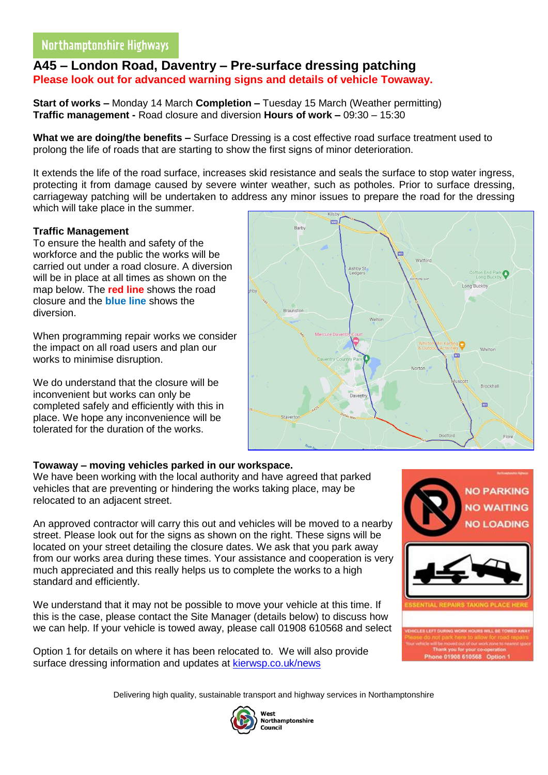# **A45 – London Road, Daventry – Pre-surface dressing patching Please look out for advanced warning signs and details of vehicle Towaway.**

**Start of works –** Monday 14 March **Completion –** Tuesday 15 March (Weather permitting) **Traffic management -** Road closure and diversion **Hours of work –** 09:30 – 15:30

**What we are doing/the benefits –** Surface Dressing is a cost effective road surface treatment used to prolong the life of roads that are starting to show the first signs of minor deterioration.

It extends the life of the road surface, increases skid resistance and seals the surface to stop water ingress, protecting it from damage caused by severe winter weather, such as potholes. Prior to surface dressing, carriageway patching will be undertaken to address any minor issues to prepare the road for the dressing which will take place in the summer.

### **Traffic Management**

To ensure the health and safety of the workforce and the public the works will be carried out under a road closure. A diversion will be in place at all times as shown on the map below. The **red line** shows the road closure and the **blue line** shows the diversion.

When programming repair works we consider the impact on all road users and plan our works to minimise disruption.

We do understand that the closure will be inconvenient but works can only be completed safely and efficiently with this in place. We hope any inconvenience will be tolerated for the duration of the works.



### **Towaway – moving vehicles parked in our workspace.**

We have been working with the local authority and have agreed that parked vehicles that are preventing or hindering the works taking place, may be relocated to an adjacent street.

An approved contractor will carry this out and vehicles will be moved to a nearby street. Please look out for the signs as shown on the right. These signs will be located on your street detailing the closure dates. We ask that you park away from our works area during these times. Your assistance and cooperation is very much appreciated and this really helps us to complete the works to a high standard and efficiently.

We understand that it may not be possible to move your vehicle at this time. If this is the case, please contact the Site Manager (details below) to discuss how we can help. If your vehicle is towed away, please call 01908 610568 and select

Option 1 for details on where it has been relocated to. We will also provide surface dressing information and updates at [kierwsp.co.uk/news](https://www.kierwsp.co.uk/news)





Delivering high quality, sustainable transport and highway services in Northamptonshire